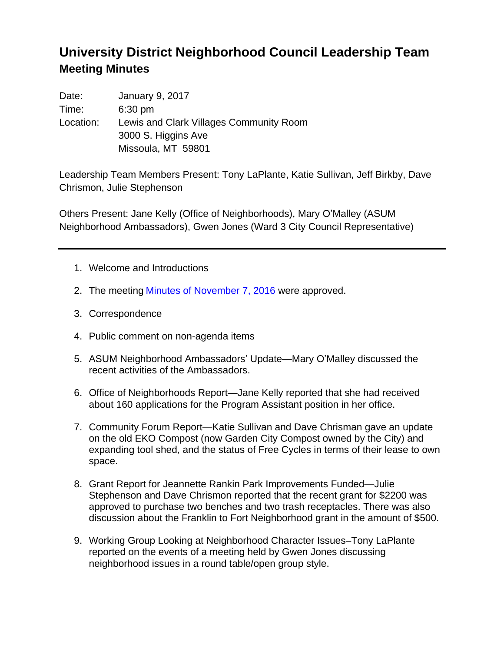## **University District Neighborhood Council Leadership Team Meeting Minutes**

| Date:     | January 9, 2017                         |
|-----------|-----------------------------------------|
| Time:     | $6:30$ pm                               |
| Location: | Lewis and Clark Villages Community Room |
|           | 3000 S. Higgins Ave                     |
|           | Missoula, MT 59801                      |

Leadership Team Members Present: Tony LaPlante, Katie Sullivan, Jeff Birkby, Dave Chrismon, Julie Stephenson

Others Present: Jane Kelly (Office of Neighborhoods), Mary O'Malley (ASUM Neighborhood Ambassadors), Gwen Jones (Ward 3 City Council Representative)

- 1. Welcome and Introductions
- 2. The meeting [Minutes of November 7, 2016](http://www.ci.missoula.mt.us/ArchiveCenter/ViewFile/Item/10893) were approved.
- 3. Correspondence
- 4. Public comment on non-agenda items
- 5. ASUM Neighborhood Ambassadors' Update—Mary O'Malley discussed the recent activities of the Ambassadors.
- 6. Office of Neighborhoods Report—Jane Kelly reported that she had received about 160 applications for the Program Assistant position in her office.
- 7. Community Forum Report—Katie Sullivan and Dave Chrisman gave an update on the old EKO Compost (now Garden City Compost owned by the City) and expanding tool shed, and the status of Free Cycles in terms of their lease to own space.
- 8. Grant Report for Jeannette Rankin Park Improvements Funded—Julie Stephenson and Dave Chrismon reported that the recent grant for \$2200 was approved to purchase two benches and two trash receptacles. There was also discussion about the Franklin to Fort Neighborhood grant in the amount of \$500.
- 9. Working Group Looking at Neighborhood Character Issues–Tony LaPlante reported on the events of a meeting held by Gwen Jones discussing neighborhood issues in a round table/open group style.